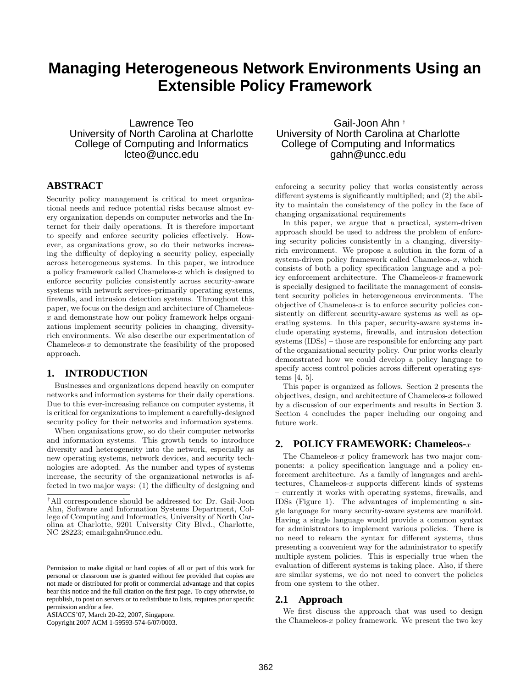# **Managing Heterogeneous Network Environments Using an Extensible Policy Framework**

Lawrence Teo University of North Carolina at Charlotte College of Computing and Informatics lcteo@uncc.edu

# **ABSTRACT**

Security policy management is critical to meet organizational needs and reduce potential risks because almost every organization depends on computer networks and the Internet for their daily operations. It is therefore important to specify and enforce security policies effectively. However, as organizations grow, so do their networks increasing the difficulty of deploying a security policy, especially across heterogeneous systems. In this paper, we introduce a policy framework called Chameleos- $x$  which is designed to enforce security policies consistently across security-aware systems with network services–primarily operating systems, firewalls, and intrusion detection systems. Throughout this paper, we focus on the design and architecture of Chameleosx and demonstrate how our policy framework helps organizations implement security policies in changing, diversityrich environments. We also describe our experimentation of Chameleos- $x$  to demonstrate the feasibility of the proposed approach.

### **1. INTRODUCTION**

Businesses and organizations depend heavily on computer networks and information systems for their daily operations. Due to this ever-increasing reliance on computer systems, it is critical for organizations to implement a carefully-designed security policy for their networks and information systems.

When organizations grow, so do their computer networks and information systems. This growth tends to introduce diversity and heterogeneity into the network, especially as new operating systems, network devices, and security technologies are adopted. As the number and types of systems increase, the security of the organizational networks is affected in two major ways: (1) the difficulty of designing and

Gail-Joon Ahn † University of North Carolina at Charlotte College of Computing and Informatics gahn@uncc.edu

enforcing a security policy that works consistently across different systems is significantly multiplied; and (2) the ability to maintain the consistency of the policy in the face of changing organizational requirements

In this paper, we argue that a practical, system-driven approach should be used to address the problem of enforcing security policies consistently in a changing, diversityrich environment. We propose a solution in the form of a system-driven policy framework called Chameleos- $x$ , which consists of both a policy specification language and a policy enforcement architecture. The Chameleos- $x$  framework is specially designed to facilitate the management of consistent security policies in heterogeneous environments. The objective of Chameleos- $x$  is to enforce security policies consistently on different security-aware systems as well as operating systems. In this paper, security-aware systems include operating systems, firewalls, and intrusion detection systems (IDSs) – those are responsible for enforcing any part of the organizational security policy. Our prior works clearly demonstrated how we could develop a policy language to specify access control policies across different operating systems [4, 5].

This paper is organized as follows. Section 2 presents the objectives, design, and architecture of Chameleos-x followed by a discussion of our experiments and results in Section 3. Section 4 concludes the paper including our ongoing and future work.

# **2. POLICY FRAMEWORK: Chameleos-**x

The Chameleos- $x$  policy framework has two major components: a policy specification language and a policy enforcement architecture. As a family of languages and architectures, Chameleos- $x$  supports different kinds of systems – currently it works with operating systems, firewalls, and IDSs (Figure 1). The advantages of implementing a single language for many security-aware systems are manifold. Having a single language would provide a common syntax for administrators to implement various policies. There is no need to relearn the syntax for different systems, thus presenting a convenient way for the administrator to specify multiple system policies. This is especially true when the evaluation of different systems is taking place. Also, if there are similar systems, we do not need to convert the policies from one system to the other.

#### **2.1 Approach**

We first discuss the approach that was used to design the Chameleos- $x$  policy framework. We present the two key

<sup>†</sup>All correspondence should be addressed to: Dr. Gail-Joon Ahn, Software and Information Systems Department, College of Computing and Informatics, University of North Carolina at Charlotte, 9201 University City Blvd., Charlotte, NC 28223; email:gahn@uncc.edu.

Permission to make digital or hard copies of all or part of this work for personal or classroom use is granted without fee provided that copies are not made or distributed for profit or commercial advantage and that copies bear this notice and the full citation on the first page. To copy otherwise, to republish, to post on servers or to redistribute to lists, requires prior specific permission and/or a fee.

ASIACCS'07, March 20-22, 2007, Singapore.

Copyright 2007 ACM 1-59593-574-6/07/0003.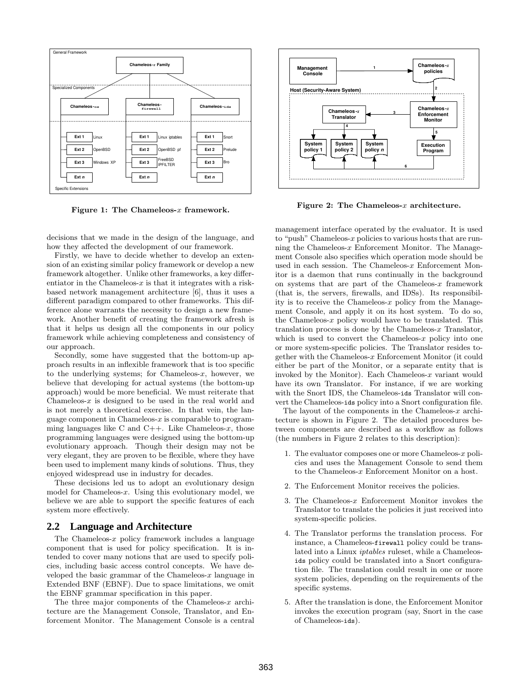

Figure 1: The Chameleos- $x$  framework.

decisions that we made in the design of the language, and how they affected the development of our framework.

Firstly, we have to decide whether to develop an extension of an existing similar policy framework or develop a new framework altogether. Unlike other frameworks, a key differentiator in the Chameleos- $x$  is that it integrates with a riskbased network management architecture [6], thus it uses a different paradigm compared to other frameworks. This difference alone warrants the necessity to design a new framework. Another benefit of creating the framework afresh is that it helps us design all the components in our policy framework while achieving completeness and consistency of our approach.

Secondly, some have suggested that the bottom-up approach results in an inflexible framework that is too specific to the underlying systems; for Chameleos- $x$ , however, we believe that developing for actual systems (the bottom-up approach) would be more beneficial. We must reiterate that Chameleos- $x$  is designed to be used in the real world and is not merely a theoretical exercise. In that vein, the language component in Chameleos- $x$  is comparable to programming languages like C and  $C_{++}$ . Like Chameleos-x, those programming languages were designed using the bottom-up evolutionary approach. Though their design may not be very elegant, they are proven to be flexible, where they have been used to implement many kinds of solutions. Thus, they enjoyed widespread use in industry for decades.

These decisions led us to adopt an evolutionary design model for Chameleos- $x$ . Using this evolutionary model, we believe we are able to support the specific features of each system more effectively.

#### **2.2 Language and Architecture**

The Chameleos- $x$  policy framework includes a language component that is used for policy specification. It is intended to cover many notions that are used to specify policies, including basic access control concepts. We have developed the basic grammar of the Chameleos- $x$  language in Extended BNF (EBNF). Due to space limitations, we omit the EBNF grammar specification in this paper.

The three major components of the Chameleos- $x$  architecture are the Management Console, Translator, and Enforcement Monitor. The Management Console is a central



Figure 2: The Chameleos- $x$  architecture.

management interface operated by the evaluator. It is used to "push" Chameleos-x policies to various hosts that are running the Chameleos- $x$  Enforcement Monitor. The Management Console also specifies which operation mode should be used in each session. The Chameleos- $x$  Enforcement Monitor is a daemon that runs continually in the background on systems that are part of the Chameleos- $x$  framework (that is, the servers, firewalls, and IDSs). Its responsibility is to receive the Chameleos- $x$  policy from the Management Console, and apply it on its host system. To do so, the Chameleos- $x$  policy would have to be translated. This translation process is done by the Chameleos- $x$  Translator, which is used to convert the Chameleos- $x$  policy into one or more system-specific policies. The Translator resides together with the Chameleos-x Enforcement Monitor (it could either be part of the Monitor, or a separate entity that is invoked by the Monitor). Each Chameleos- $x$  variant would have its own Translator. For instance, if we are working with the Snort IDS, the Chameleos-ids Translator will convert the Chameleos-ids policy into a Snort configuration file.

The layout of the components in the Chameleos- $x$  architecture is shown in Figure 2. The detailed procedures between components are described as a workflow as follows (the numbers in Figure 2 relates to this description):

- 1. The evaluator composes one or more Chameleos- $x$  policies and uses the Management Console to send them to the Chameleos-x Enforcement Monitor on a host.
- 2. The Enforcement Monitor receives the policies.
- 3. The Chameleos- $x$  Enforcement Monitor invokes the Translator to translate the policies it just received into system-specific policies.
- 4. The Translator performs the translation process. For instance, a Chameleos-firewall policy could be translated into a Linux iptables ruleset, while a Chameleosids policy could be translated into a Snort configuration file. The translation could result in one or more system policies, depending on the requirements of the specific systems.
- 5. After the translation is done, the Enforcement Monitor invokes the execution program (say, Snort in the case of Chameleos-ids).